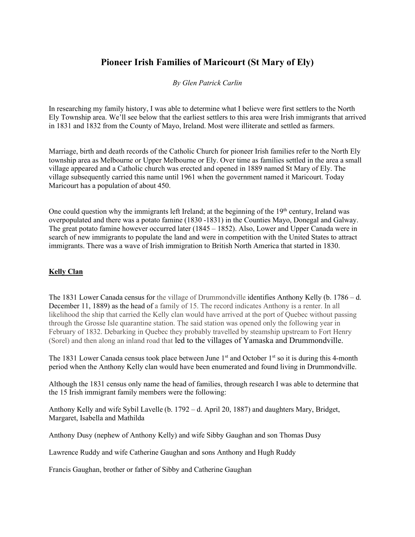# **Pioneer Irish Families of Maricourt (St Mary of Ely)**

#### *By Glen Patrick Carlin*

In researching my family history, I was able to determine what I believe were first settlers to the North Ely Township area. We'll see below that the earliest settlers to this area were Irish immigrants that arrived in 1831 and 1832 from the County of Mayo, Ireland. Most were illiterate and settled as farmers.

Marriage, birth and death records of the Catholic Church for pioneer Irish families refer to the North Ely township area as Melbourne or Upper Melbourne or Ely. Over time as families settled in the area a small village appeared and a Catholic church was erected and opened in 1889 named St Mary of Ely. The village subsequently carried this name until 1961 when the government named it Maricourt. Today Maricourt has a population of about 450.

One could question why the immigrants left Ireland; at the beginning of the 19<sup>th</sup> century, Ireland was overpopulated and there was a potato famine (1830 -1831) in the Counties Mayo, Donegal and Galway. The great potato famine however occurred later (1845 – 1852). Also, Lower and Upper Canada were in search of new immigrants to populate the land and were in competition with the United States to attract immigrants. There was a wave of Irish immigration to British North America that started in 1830.

#### **Kelly Clan**

The 1831 Lower Canada census for the village of Drummondville identifies Anthony Kelly (b. 1786 – d. December 11, 1889) as the head of a family of 15. The record indicates Anthony is a renter. In all likelihood the ship that carried the Kelly clan would have arrived at the port of Quebec without passing through the Grosse Isle quarantine station. The said station was opened only the following year in February of 1832. Debarking in Quebec they probably travelled by steamship upstream to Fort Henry (Sorel) and then along an inland road that led to the villages of Yamaska and Drummondville.

The 1831 Lower Canada census took place between June 1<sup>st</sup> and October 1<sup>st</sup> so it is during this 4-month period when the Anthony Kelly clan would have been enumerated and found living in Drummondville.

Although the 1831 census only name the head of families, through research I was able to determine that the 15 Irish immigrant family members were the following:

Anthony Kelly and wife Sybil Lavelle (b. 1792 – d. April 20, 1887) and daughters Mary, Bridget, Margaret, Isabella and Mathilda

Anthony Dusy (nephew of Anthony Kelly) and wife Sibby Gaughan and son Thomas Dusy

Lawrence Ruddy and wife Catherine Gaughan and sons Anthony and Hugh Ruddy

Francis Gaughan, brother or father of Sibby and Catherine Gaughan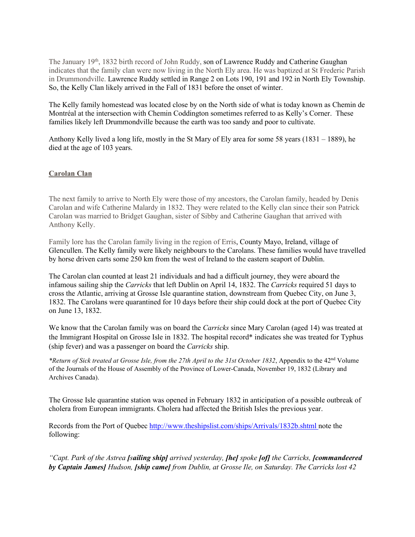The January  $19<sup>th</sup>$ , 1832 birth record of John Ruddy, son of Lawrence Ruddy and Catherine Gaughan indicates that the family clan were now living in the North Ely area. He was baptized at St Frederic Parish in Drummondville. Lawrence Ruddy settled in Range 2 on Lots 190, 191 and 192 in North Ely Township. So, the Kelly Clan likely arrived in the Fall of 1831 before the onset of winter.

The Kelly family homestead was located close by on the North side of what is today known as Chemin de Montréal at the intersection with Chemin Coddington sometimes referred to as Kelly's Corner. These families likely left Drummondville because the earth was too sandy and poor to cultivate.

Anthony Kelly lived a long life, mostly in the St Mary of Ely area for some 58 years (1831 – 1889), he died at the age of 103 years.

### **Carolan Clan**

The next family to arrive to North Ely were those of my ancestors, the Carolan family, headed by Denis Carolan and wife Catherine Malardy in 1832. They were related to the Kelly clan since their son Patrick Carolan was married to Bridget Gaughan, sister of Sibby and Catherine Gaughan that arrived with Anthony Kelly.

Family lore has the Carolan family living in the region of Erris, County Mayo, Ireland, village of Glencullen. The Kelly family were likely neighbours to the Carolans. These families would have travelled by horse driven carts some 250 km from the west of Ireland to the eastern seaport of Dublin.

The Carolan clan counted at least 21 individuals and had a difficult journey, they were aboard the infamous sailing ship the *Carricks* that left Dublin on April 14, 1832. The *Carricks* required 51 days to cross the Atlantic, arriving at Grosse Isle quarantine station, downstream from Quebec City, on June 3, 1832. The Carolans were quarantined for 10 days before their ship could dock at the port of Quebec City on June 13, 1832.

We know that the Carolan family was on board the *Carricks* since Mary Carolan (aged 14) was treated at the Immigrant Hospital on Grosse Isle in 1832. The hospital record\* indicates she was treated for Typhus (ship fever) and was a passenger on board the *Carricks* ship.

*\*Return of Sick treated at Grosse Isle, from the 27th April to the 31st October 1832*, Appendix to the 42nd Volume of the Journals of the House of Assembly of the Province of Lower-Canada, November 19, 1832 (Library and Archives Canada).

The Grosse Isle quarantine station was opened in February 1832 in anticipation of a possible outbreak of cholera from European immigrants. Cholera had affected the British Isles the previous year.

Records from the Port of Quebec<http://www.theshipslist.com/ships/Arrivals/1832b.shtml> note the following:

*"Capt. Park of the Astrea [sailing ship] arrived yesterday, [he] spoke [of] the Carricks, [commandeered by Captain James] Hudson, [ship came] from Dublin, at Grosse Ile, on Saturday. The Carricks lost 42*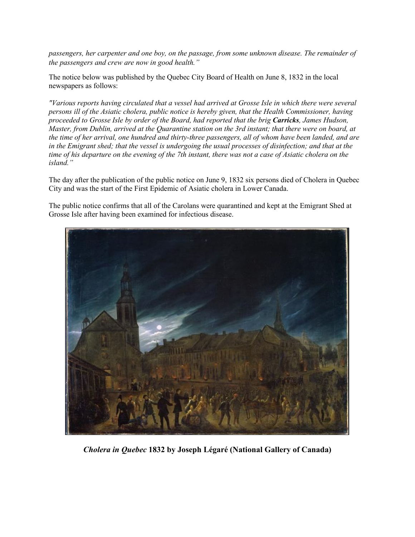*passengers, her carpenter and one boy, on the passage, from some unknown disease. The remainder of the passengers and crew are now in good health."* 

The notice below was published by the Quebec City Board of Health on June 8, 1832 in the local newspapers as follows:

*"Various reports having circulated that a vessel had arrived at Grosse Isle in which there were several persons ill of the Asiatic cholera, public notice is hereby given, that the Health Commissioner, having proceeded to Grosse Isle by order of the Board, had reported that the brig Carricks, James Hudson, Master, from Dublin, arrived at the Quarantine station on the 3rd instant; that there were on board, at the time of her arrival, one hundred and thirty-three passengers, all of whom have been landed, and are in the Emigrant shed; that the vessel is undergoing the usual processes of disinfection; and that at the time of his departure on the evening of the 7th instant, there was not a case of Asiatic cholera on the island."*

The day after the publication of the public notice on June 9, 1832 six persons died of Cholera in Quebec City and was the start of the First Epidemic of Asiatic cholera in Lower Canada.

The public notice confirms that all of the Carolans were quarantined and kept at the Emigrant Shed at Grosse Isle after having been examined for infectious disease.



*Cholera in Quebec* **1832 by Joseph Légaré (National Gallery of Canada)**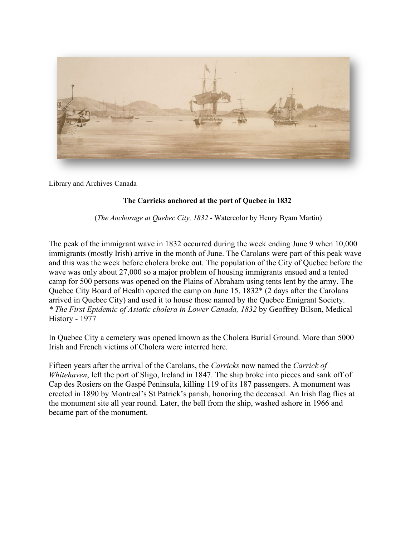

Library and Archives Canada

## **The Carricks anchored at the port of Quebec in 1832**

(*The Anchorage at Quebec City, 1832* - Watercolor by Henry Byam Martin)

The peak of the immigrant wave in 1832 occurred during the week ending June 9 when 10,000 immigrants (mostly Irish) arrive in the month of June. The Carolans were part of this peak wave and this was the week before cholera broke out. The population of the City of Quebec before the wave was only about 27,000 so a major problem of housing immigrants ensued and a tented camp for 500 persons was opened on the Plains of Abraham using tents lent by the army. The Quebec City Board of Health opened the camp on June 15, 1832\* (2 days after the Carolans arrived in Quebec City) and used it to house those named by the Quebec Emigrant Society. *\* The First Epidemic of Asiatic cholera in Lower Canada, 1832* by Geoffrey Bilson, Medical History - 1977

In Quebec City a cemetery was opened known as the Cholera Burial Ground. More than 5000 Irish and French victims of Cholera were interred here.

Fifteen years after the arrival of the Carolans, the *Carricks* now named the *Carrick of Whitehaven*, left the port of Sligo, Ireland in 1847. The ship broke into pieces and sank off of Cap des Rosiers on the Gaspé Peninsula, killing 119 of its 187 passengers. A monument was erected in 1890 by Montreal's St Patrick's parish, honoring the deceased. An Irish flag flies at the monument site all year round. Later, the bell from the ship, washed ashore in 1966 and became part of the monument.